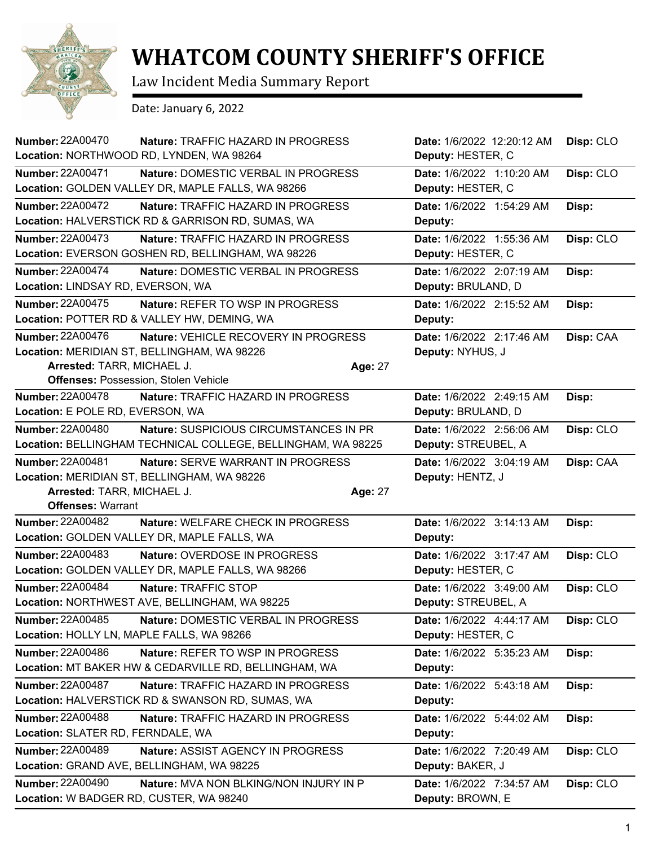

## **WHATCOM COUNTY SHERIFF'S OFFICE**

Law Incident Media Summary Report

Date: January 6, 2022

| <b>Number: 22A00470</b><br>Nature: TRAFFIC HAZARD IN PROGRESS<br>Location: NORTHWOOD RD, LYNDEN, WA 98264 |                | Date: 1/6/2022 12:20:12 AM<br>Deputy: HESTER, C | Disp: CLO |
|-----------------------------------------------------------------------------------------------------------|----------------|-------------------------------------------------|-----------|
| Number: 22A00471                                                                                          |                |                                                 |           |
| <b>Nature: DOMESTIC VERBAL IN PROGRESS</b><br>Location: GOLDEN VALLEY DR, MAPLE FALLS, WA 98266           |                | Date: 1/6/2022 1:10:20 AM<br>Deputy: HESTER, C  | Disp: CLO |
| <b>Number: 22A00472</b><br>Nature: TRAFFIC HAZARD IN PROGRESS                                             |                | Date: 1/6/2022 1:54:29 AM                       | Disp:     |
| Location: HALVERSTICK RD & GARRISON RD, SUMAS, WA                                                         |                | Deputy:                                         |           |
| <b>Number: 22A00473</b><br><b>Nature: TRAFFIC HAZARD IN PROGRESS</b>                                      |                | Date: 1/6/2022 1:55:36 AM                       | Disp: CLO |
| Location: EVERSON GOSHEN RD, BELLINGHAM, WA 98226                                                         |                | Deputy: HESTER, C                               |           |
| <b>Number: 22A00474</b><br>Nature: DOMESTIC VERBAL IN PROGRESS                                            |                | Date: 1/6/2022 2:07:19 AM                       | Disp:     |
| Location: LINDSAY RD, EVERSON, WA                                                                         |                | Deputy: BRULAND, D                              |           |
| <b>Number: 22A00475</b><br>Nature: REFER TO WSP IN PROGRESS                                               |                | Date: 1/6/2022 2:15:52 AM                       | Disp:     |
| Location: POTTER RD & VALLEY HW, DEMING, WA                                                               |                | Deputy:                                         |           |
| <b>Number: 22A00476</b><br>Nature: VEHICLE RECOVERY IN PROGRESS                                           |                | Date: 1/6/2022 2:17:46 AM                       | Disp: CAA |
| Location: MERIDIAN ST, BELLINGHAM, WA 98226                                                               |                | Deputy: NYHUS, J                                |           |
| Arrested: TARR, MICHAEL J.                                                                                | <b>Age: 27</b> |                                                 |           |
| <b>Offenses: Possession, Stolen Vehicle</b>                                                               |                |                                                 |           |
| <b>Number: 22A00478</b><br>Nature: TRAFFIC HAZARD IN PROGRESS                                             |                | Date: 1/6/2022 2:49:15 AM                       | Disp:     |
| Location: E POLE RD, EVERSON, WA                                                                          |                | Deputy: BRULAND, D                              |           |
| <b>Number: 22A00480</b><br>Nature: SUSPICIOUS CIRCUMSTANCES IN PR                                         |                | Date: 1/6/2022 2:56:06 AM                       | Disp: CLO |
| Location: BELLINGHAM TECHNICAL COLLEGE, BELLINGHAM, WA 98225                                              |                | Deputy: STREUBEL, A                             |           |
| <b>Number: 22A00481</b><br>Nature: SERVE WARRANT IN PROGRESS                                              |                | Date: 1/6/2022 3:04:19 AM                       | Disp: CAA |
| Location: MERIDIAN ST, BELLINGHAM, WA 98226                                                               |                | Deputy: HENTZ, J                                |           |
| Arrested: TARR, MICHAEL J.                                                                                | Age: 27        |                                                 |           |
| <b>Offenses: Warrant</b>                                                                                  |                |                                                 |           |
| <b>Number: 22A00482</b><br>Nature: WELFARE CHECK IN PROGRESS                                              |                | Date: 1/6/2022 3:14:13 AM                       | Disp:     |
| Location: GOLDEN VALLEY DR, MAPLE FALLS, WA                                                               |                | Deputy:                                         |           |
| Number: 22A00483<br>Nature: OVERDOSE IN PROGRESS                                                          |                | Date: 1/6/2022 3:17:47 AM                       | Disp: CLO |
| Location: GOLDEN VALLEY DR, MAPLE FALLS, WA 98266                                                         |                | Deputy: HESTER, C                               |           |
| <b>Number: 22A00484</b><br>Nature: TRAFFIC STOP                                                           |                | Date: 1/6/2022 3:49:00 AM                       | Disp: CLO |
| Location: NORTHWEST AVE, BELLINGHAM, WA 98225                                                             |                | Deputy: STREUBEL, A                             |           |
| Number: 22A00485<br>Nature: DOMESTIC VERBAL IN PROGRESS                                                   |                | Date: 1/6/2022 4:44:17 AM                       | Disp: CLO |
| Location: HOLLY LN, MAPLE FALLS, WA 98266                                                                 |                | Deputy: HESTER, C                               |           |
| <b>Number: 22A00486</b><br>Nature: REFER TO WSP IN PROGRESS                                               |                |                                                 |           |
| Location: MT BAKER HW & CEDARVILLE RD, BELLINGHAM, WA                                                     |                | Date: 1/6/2022 5:35:23 AM                       | Disp:     |
|                                                                                                           |                | Deputy:                                         |           |
| Number: 22A00487<br>Nature: TRAFFIC HAZARD IN PROGRESS                                                    |                | Date: 1/6/2022 5:43:18 AM                       | Disp:     |
| Location: HALVERSTICK RD & SWANSON RD, SUMAS, WA                                                          |                | Deputy:                                         |           |
| <b>Number: 22A00488</b><br><b>Nature: TRAFFIC HAZARD IN PROGRESS</b>                                      |                | Date: 1/6/2022 5:44:02 AM                       | Disp:     |
| Location: SLATER RD, FERNDALE, WA                                                                         |                | Deputy:                                         |           |
| <b>Number: 22A00489</b><br>Nature: ASSIST AGENCY IN PROGRESS                                              |                | Date: 1/6/2022 7:20:49 AM                       | Disp: CLO |
| Location: GRAND AVE, BELLINGHAM, WA 98225                                                                 |                | Deputy: BAKER, J                                |           |
| <b>Number: 22A00490</b><br>Nature: MVA NON BLKING/NON INJURY IN P                                         |                | Date: 1/6/2022 7:34:57 AM                       | Disp: CLO |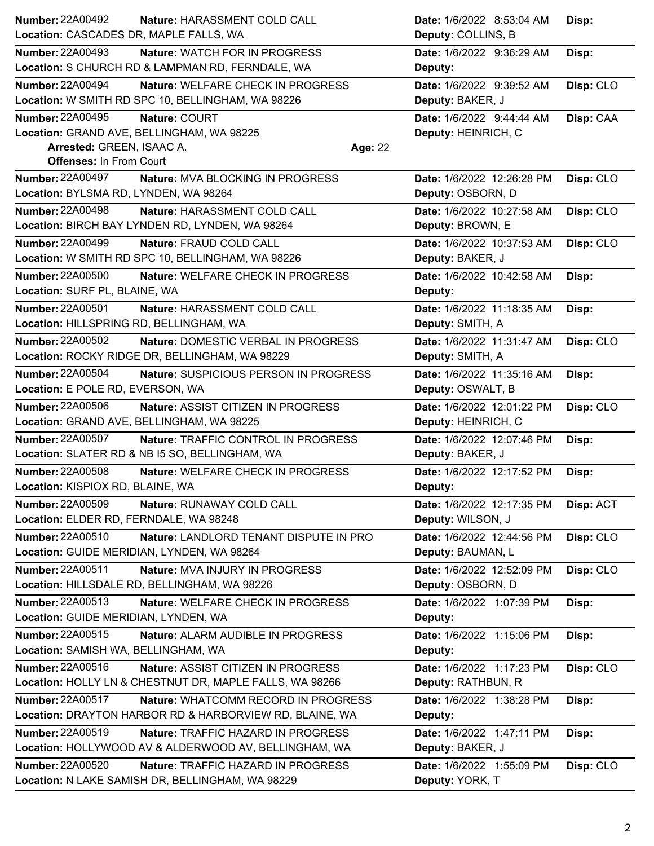| <b>Number: 22A00492</b>                    | Nature: HARASSMENT COLD CALL                            | Date: 1/6/2022 8:53:04 AM  | Disp:     |
|--------------------------------------------|---------------------------------------------------------|----------------------------|-----------|
| Location: CASCADES DR, MAPLE FALLS, WA     |                                                         | Deputy: COLLINS, B         |           |
| <b>Number: 22A00493</b>                    | Nature: WATCH FOR IN PROGRESS                           | Date: 1/6/2022 9:36:29 AM  | Disp:     |
|                                            | Location: S CHURCH RD & LAMPMAN RD, FERNDALE, WA        | Deputy:                    |           |
| <b>Number: 22A00494</b>                    | Nature: WELFARE CHECK IN PROGRESS                       | Date: 1/6/2022 9:39:52 AM  | Disp: CLO |
|                                            | Location: W SMITH RD SPC 10, BELLINGHAM, WA 98226       | Deputy: BAKER, J           |           |
| <b>Number: 22A00495</b>                    | Nature: COURT                                           | Date: 1/6/2022 9:44:44 AM  | Disp: CAA |
| Location: GRAND AVE, BELLINGHAM, WA 98225  |                                                         | Deputy: HEINRICH, C        |           |
| Arrested: GREEN, ISAAC A.                  |                                                         | Age: 22                    |           |
| <b>Offenses: In From Court</b>             |                                                         |                            |           |
| <b>Number: 22A00497</b>                    | Nature: MVA BLOCKING IN PROGRESS                        | Date: 1/6/2022 12:26:28 PM | Disp: CLO |
| Location: BYLSMA RD, LYNDEN, WA 98264      |                                                         | Deputy: OSBORN, D          |           |
| Number: 22A00498                           | Nature: HARASSMENT COLD CALL                            | Date: 1/6/2022 10:27:58 AM | Disp: CLO |
|                                            | Location: BIRCH BAY LYNDEN RD, LYNDEN, WA 98264         | Deputy: BROWN, E           |           |
| <b>Number: 22A00499</b>                    | Nature: FRAUD COLD CALL                                 | Date: 1/6/2022 10:37:53 AM | Disp: CLO |
|                                            | Location: W SMITH RD SPC 10, BELLINGHAM, WA 98226       | Deputy: BAKER, J           |           |
| <b>Number: 22A00500</b>                    | Nature: WELFARE CHECK IN PROGRESS                       | Date: 1/6/2022 10:42:58 AM | Disp:     |
| Location: SURF PL, BLAINE, WA              |                                                         | Deputy:                    |           |
| <b>Number: 22A00501</b>                    | Nature: HARASSMENT COLD CALL                            | Date: 1/6/2022 11:18:35 AM | Disp:     |
| Location: HILLSPRING RD, BELLINGHAM, WA    |                                                         | Deputy: SMITH, A           |           |
| <b>Number: 22A00502</b>                    | <b>Nature: DOMESTIC VERBAL IN PROGRESS</b>              | Date: 1/6/2022 11:31:47 AM | Disp: CLO |
|                                            | Location: ROCKY RIDGE DR, BELLINGHAM, WA 98229          | Deputy: SMITH, A           |           |
| <b>Number: 22A00504</b>                    | Nature: SUSPICIOUS PERSON IN PROGRESS                   | Date: 1/6/2022 11:35:16 AM | Disp:     |
| Location: E POLE RD, EVERSON, WA           |                                                         | Deputy: OSWALT, B          |           |
| <b>Number: 22A00506</b>                    | Nature: ASSIST CITIZEN IN PROGRESS                      | Date: 1/6/2022 12:01:22 PM | Disp: CLO |
| Location: GRAND AVE, BELLINGHAM, WA 98225  |                                                         | Deputy: HEINRICH, C        |           |
| <b>Number: 22A00507</b>                    | Nature: TRAFFIC CONTROL IN PROGRESS                     | Date: 1/6/2022 12:07:46 PM | Disp:     |
|                                            | Location: SLATER RD & NB I5 SO, BELLINGHAM, WA          | Deputy: BAKER, J           |           |
| <b>Number: 22A00508</b>                    | Nature: WELFARE CHECK IN PROGRESS                       | Date: 1/6/2022 12:17:52 PM | Disp:     |
| Location: KISPIOX RD, BLAINE, WA           |                                                         | Deputy:                    |           |
| Number: 22A00509                           | Nature: RUNAWAY COLD CALL                               | Date: 1/6/2022 12:17:35 PM | Disp: ACT |
| Location: ELDER RD, FERNDALE, WA 98248     |                                                         | Deputy: WILSON, J          |           |
| Number: 22A00510                           | Nature: LANDLORD TENANT DISPUTE IN PRO                  | Date: 1/6/2022 12:44:56 PM | Disp: CLO |
| Location: GUIDE MERIDIAN, LYNDEN, WA 98264 |                                                         | Deputy: BAUMAN, L          |           |
| Number: 22A00511                           | Nature: MVA INJURY IN PROGRESS                          | Date: 1/6/2022 12:52:09 PM | Disp: CLO |
|                                            | Location: HILLSDALE RD, BELLINGHAM, WA 98226            | Deputy: OSBORN, D          |           |
| Number: 22A00513                           | Nature: WELFARE CHECK IN PROGRESS                       | Date: 1/6/2022 1:07:39 PM  | Disp:     |
| Location: GUIDE MERIDIAN, LYNDEN, WA       |                                                         | Deputy:                    |           |
| Number: 22A00515                           | Nature: ALARM AUDIBLE IN PROGRESS                       | Date: 1/6/2022 1:15:06 PM  | Disp:     |
| Location: SAMISH WA, BELLINGHAM, WA        |                                                         | Deputy:                    |           |
| Number: 22A00516                           | Nature: ASSIST CITIZEN IN PROGRESS                      | Date: 1/6/2022 1:17:23 PM  | Disp: CLO |
|                                            | Location: HOLLY LN & CHESTNUT DR, MAPLE FALLS, WA 98266 | Deputy: RATHBUN, R         |           |
| Number: 22A00517                           | Nature: WHATCOMM RECORD IN PROGRESS                     | Date: 1/6/2022 1:38:28 PM  | Disp:     |
|                                            | Location: DRAYTON HARBOR RD & HARBORVIEW RD, BLAINE, WA | Deputy:                    |           |
| Number: 22A00519                           | Nature: TRAFFIC HAZARD IN PROGRESS                      | Date: 1/6/2022 1:47:11 PM  | Disp:     |
|                                            | Location: HOLLYWOOD AV & ALDERWOOD AV, BELLINGHAM, WA   | Deputy: BAKER, J           |           |
| Number: 22A00520                           | Nature: TRAFFIC HAZARD IN PROGRESS                      | Date: 1/6/2022 1:55:09 PM  | Disp: CLO |
|                                            | Location: N LAKE SAMISH DR, BELLINGHAM, WA 98229        | Deputy: YORK, T            |           |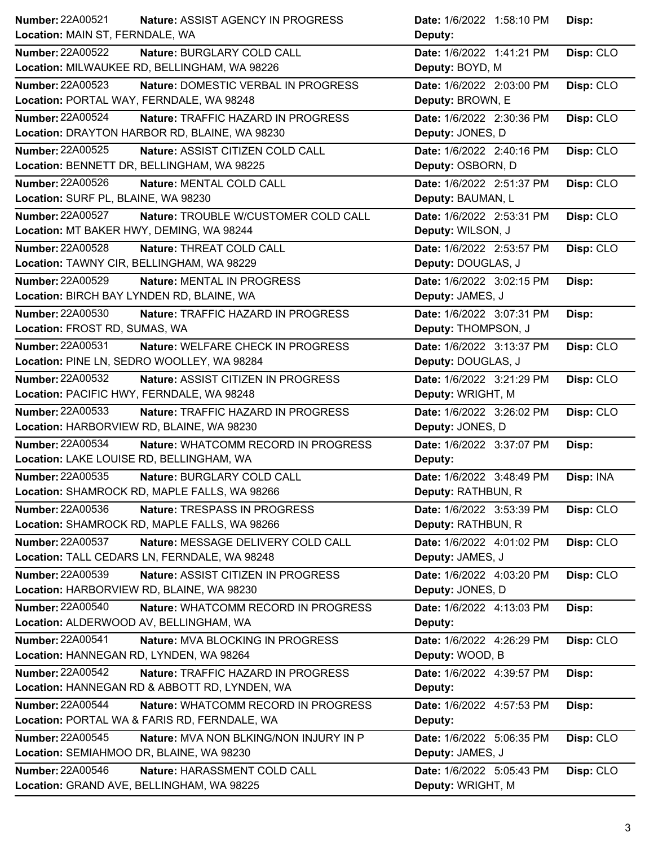| Number: 22A00521                              | Date: 1/6/2022 1:58:10 PM |
|-----------------------------------------------|---------------------------|
| Nature: ASSIST AGENCY IN PROGRESS             | Disp:                     |
| Location: MAIN ST, FERNDALE, WA               | Deputy:                   |
| <b>Number: 22A00522</b>                       | Disp: CLO                 |
| Nature: BURGLARY COLD CALL                    | Date: 1/6/2022 1:41:21 PM |
| Location: MILWAUKEE RD, BELLINGHAM, WA 98226  | Deputy: BOYD, M           |
| <b>Number: 22A00523</b>                       | Date: 1/6/2022 2:03:00 PM |
| Nature: DOMESTIC VERBAL IN PROGRESS           | Disp: CLO                 |
| Location: PORTAL WAY, FERNDALE, WA 98248      | Deputy: BROWN, E          |
| <b>Number: 22A00524</b>                       | Date: 1/6/2022 2:30:36 PM |
| Nature: TRAFFIC HAZARD IN PROGRESS            | Disp: CLO                 |
| Location: DRAYTON HARBOR RD, BLAINE, WA 98230 | Deputy: JONES, D          |
| <b>Number: 22A00525</b>                       | Date: 1/6/2022 2:40:16 PM |
| Nature: ASSIST CITIZEN COLD CALL              | Disp: CLO                 |
| Location: BENNETT DR, BELLINGHAM, WA 98225    | Deputy: OSBORN, D         |
| Number: 22A00526                              | Date: 1/6/2022 2:51:37 PM |
| Nature: MENTAL COLD CALL                      | Disp: CLO                 |
| Location: SURF PL, BLAINE, WA 98230           | Deputy: BAUMAN, L         |
| <b>Number: 22A00527</b>                       | Date: 1/6/2022 2:53:31 PM |
| Nature: TROUBLE W/CUSTOMER COLD CALL          | Disp: CLO                 |
| Location: MT BAKER HWY, DEMING, WA 98244      | Deputy: WILSON, J         |
| Number: 22A00528                              | Disp: CLO                 |
| Nature: THREAT COLD CALL                      | Date: 1/6/2022 2:53:57 PM |
| Location: TAWNY CIR, BELLINGHAM, WA 98229     | Deputy: DOUGLAS, J        |
| <b>Number: 22A00529</b>                       | Date: 1/6/2022 3:02:15 PM |
| Nature: MENTAL IN PROGRESS                    | Disp:                     |
| Location: BIRCH BAY LYNDEN RD, BLAINE, WA     | Deputy: JAMES, J          |
| Number: 22A00530                              | Date: 1/6/2022 3:07:31 PM |
| Nature: TRAFFIC HAZARD IN PROGRESS            | Disp:                     |
| Location: FROST RD, SUMAS, WA                 | Deputy: THOMPSON, J       |
| <b>Number: 22A00531</b>                       | Date: 1/6/2022 3:13:37 PM |
| Nature: WELFARE CHECK IN PROGRESS             | Disp: CLO                 |
| Location: PINE LN, SEDRO WOOLLEY, WA 98284    | Deputy: DOUGLAS, J        |
| Number: 22A00532                              | Date: 1/6/2022 3:21:29 PM |
| Nature: ASSIST CITIZEN IN PROGRESS            | Disp: CLO                 |
| Location: PACIFIC HWY, FERNDALE, WA 98248     | Deputy: WRIGHT, M         |
| <b>Number: 22A00533</b>                       | Date: 1/6/2022 3:26:02 PM |
| Nature: TRAFFIC HAZARD IN PROGRESS            | Disp: CLO                 |
| Location: HARBORVIEW RD, BLAINE, WA 98230     | Deputy: JONES, D          |
| <b>Number: 22A00534</b>                       | Date: 1/6/2022 3:37:07 PM |
| Nature: WHATCOMM RECORD IN PROGRESS           | Disp:                     |
| Location: LAKE LOUISE RD, BELLINGHAM, WA      | Deputy:                   |
| Number: 22A00535                              | Date: 1/6/2022 3:48:49 PM |
| Nature: BURGLARY COLD CALL                    | Disp: INA                 |
| Location: SHAMROCK RD, MAPLE FALLS, WA 98266  | Deputy: RATHBUN, R        |
| <b>Number: 22A00536</b>                       | Date: 1/6/2022 3:53:39 PM |
| Nature: TRESPASS IN PROGRESS                  | Disp: CLO                 |
| Location: SHAMROCK RD, MAPLE FALLS, WA 98266  | Deputy: RATHBUN, R        |
| Number: 22A00537                              | Disp: CLO                 |
| Nature: MESSAGE DELIVERY COLD CALL            | Date: 1/6/2022 4:01:02 PM |
| Location: TALL CEDARS LN, FERNDALE, WA 98248  | Deputy: JAMES, J          |
| Number: 22A00539                              | Disp: CLO                 |
| Nature: ASSIST CITIZEN IN PROGRESS            | Date: 1/6/2022 4:03:20 PM |
| Location: HARBORVIEW RD, BLAINE, WA 98230     | Deputy: JONES, D          |
| <b>Number: 22A00540</b>                       | Date: 1/6/2022 4:13:03 PM |
| Nature: WHATCOMM RECORD IN PROGRESS           | Disp:                     |
| Location: ALDERWOOD AV, BELLINGHAM, WA        | Deputy:                   |
| Number: 22A00541                              | Disp: CLO                 |
| Nature: MVA BLOCKING IN PROGRESS              | Date: 1/6/2022 4:26:29 PM |
| Location: HANNEGAN RD, LYNDEN, WA 98264       | Deputy: WOOD, B           |
| <b>Number: 22A00542</b>                       | Date: 1/6/2022 4:39:57 PM |
| Nature: TRAFFIC HAZARD IN PROGRESS            | Disp:                     |
| Location: HANNEGAN RD & ABBOTT RD, LYNDEN, WA | Deputy:                   |
| <b>Number: 22A00544</b>                       | Date: 1/6/2022 4:57:53 PM |
| Nature: WHATCOMM RECORD IN PROGRESS           | Disp:                     |
| Location: PORTAL WA & FARIS RD, FERNDALE, WA  | Deputy:                   |
| <b>Number: 22A00545</b>                       | Date: 1/6/2022 5:06:35 PM |
| Nature: MVA NON BLKING/NON INJURY IN P        | Disp: CLO                 |
| Location: SEMIAHMOO DR, BLAINE, WA 98230      | Deputy: JAMES, J          |
| <b>Number: 22A00546</b>                       | Date: 1/6/2022 5:05:43 PM |
| Nature: HARASSMENT COLD CALL                  | Disp: CLO                 |
| Location: GRAND AVE, BELLINGHAM, WA 98225     | Deputy: WRIGHT, M         |